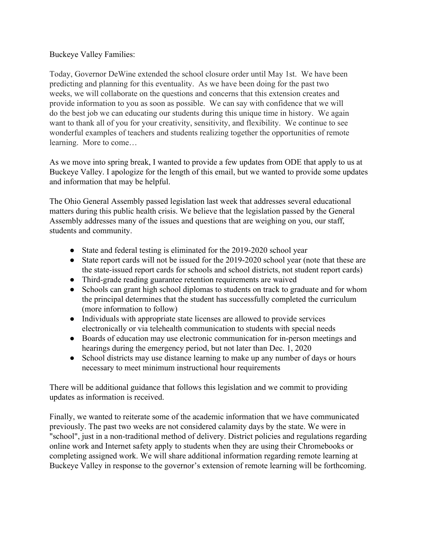## Buckeye Valley Families:

Today, Governor DeWine extended the school closure order until May 1st. We have been predicting and planning for this eventuality. As we have been doing for the past two weeks, we will collaborate on the questions and concerns that this extension creates and provide information to you as soon as possible. We can say with confidence that we will do the best job we can educating our students during this unique time in history. We again want to thank all of you for your creativity, sensitivity, and flexibility. We continue to see wonderful examples of teachers and students realizing together the opportunities of remote learning. More to come…

As we move into spring break, I wanted to provide a few updates from ODE that apply to us at Buckeye Valley. I apologize for the length of this email, but we wanted to provide some updates and information that may be helpful.

The Ohio General Assembly passed legislation last week that addresses several educational matters during this public health crisis. We believe that the legislation passed by the General Assembly addresses many of the issues and questions that are weighing on you, our staff, students and community.

- State and federal testing is eliminated for the 2019-2020 school year
- State report cards will not be issued for the 2019-2020 school year (note that these are the state-issued report cards for schools and school districts, not student report cards)
- Third-grade reading guarantee retention requirements are waived
- Schools can grant high school diplomas to students on track to graduate and for whom the principal determines that the student has successfully completed the curriculum (more information to follow)
- Individuals with appropriate state licenses are allowed to provide services electronically or via telehealth communication to students with special needs
- Boards of education may use electronic communication for in-person meetings and hearings during the emergency period, but not later than Dec. 1, 2020
- School districts may use distance learning to make up any number of days or hours necessary to meet minimum instructional hour requirements

There will be additional guidance that follows this legislation and we commit to providing updates as information is received.

Finally, we wanted to reiterate some of the academic information that we have communicated previously. The past two weeks are not considered calamity days by the state. We were in "school", just in a non-traditional method of delivery. District policies and regulations regarding online work and Internet safety apply to students when they are using their Chromebooks or completing assigned work. We will share additional information regarding remote learning at Buckeye Valley in response to the governor's extension of remote learning will be forthcoming.